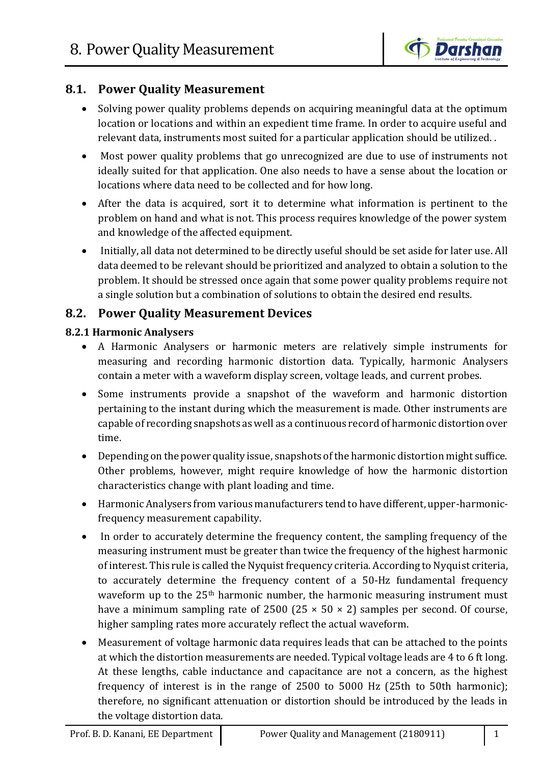

# **8.1. Power Quality Measurement**

- Solving power quality problems depends on acquiring meaningful data at the optimum location or locations and within an expedient time frame. In order to acquire useful and relevant data, instruments most suited for a particular application should be utilized. .
- Most power quality problems that go unrecognized are due to use of instruments not ideally suited for that application. One also needs to have a sense about the location or locations where data need to be collected and for how long.
- After the data is acquired, sort it to determine what information is pertinent to the problem on hand and what is not. This process requires knowledge of the power system and knowledge of the affected equipment.
- Initially, all data not determined to be directly useful should be set aside for later use. All data deemed to be relevant should be prioritized and analyzed to obtain a solution to the problem. It should be stressed once again that some power quality problems require not a single solution but a combination of solutions to obtain the desired end results.

## **8.2. Power Quality Measurement Devices**

### **8.2.1 Harmonic Analysers**

- A Harmonic Analysers or harmonic meters are relatively simple instruments for measuring and recording harmonic distortion data. Typically, harmonic Analysers contain a meter with a waveform display screen, voltage leads, and current probes.
- Some instruments provide a snapshot of the waveform and harmonic distortion pertaining to the instant during which the measurement is made. Other instruments are capable of recording snapshots as well as a continuous record of harmonic distortion over time.
- Depending on the power quality issue, snapshots of the harmonic distortion might suffice. Other problems, however, might require knowledge of how the harmonic distortion characteristics change with plant loading and time.
- Harmonic Analysers from various manufacturers tend to have different, upper-harmonicfrequency measurement capability.
- In order to accurately determine the frequency content, the sampling frequency of the measuring instrument must be greater than twice the frequency of the highest harmonic of interest. This rule is called the Nyquist frequency criteria. According to Nyquist criteria, to accurately determine the frequency content of a 50-Hz fundamental frequency waveform up to the 25<sup>th</sup> harmonic number, the harmonic measuring instrument must have a minimum sampling rate of 2500 (25  $\times$  50  $\times$  2) samples per second. Of course, higher sampling rates more accurately reflect the actual waveform.
- Measurement of voltage harmonic data requires leads that can be attached to the points at which the distortion measurements are needed. Typical voltage leads are 4 to 6 ft long. At these lengths, cable inductance and capacitance are not a concern, as the highest frequency of interest is in the range of 2500 to 5000 Hz (25th to 50th harmonic); therefore, no significant attenuation or distortion should be introduced by the leads in the voltage distortion data.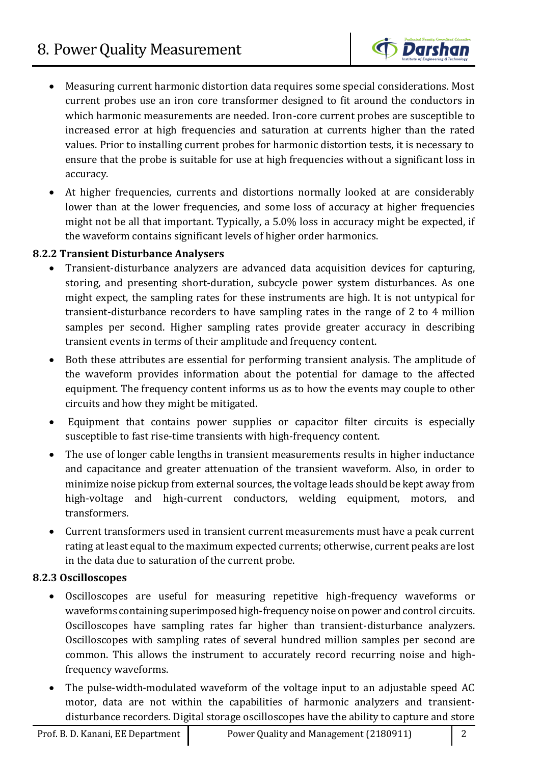

- Measuring current harmonic distortion data requires some special considerations. Most current probes use an iron core transformer designed to fit around the conductors in which harmonic measurements are needed. Iron-core current probes are susceptible to increased error at high frequencies and saturation at currents higher than the rated values. Prior to installing current probes for harmonic distortion tests, it is necessary to ensure that the probe is suitable for use at high frequencies without a significant loss in accuracy.
- At higher frequencies, currents and distortions normally looked at are considerably lower than at the lower frequencies, and some loss of accuracy at higher frequencies might not be all that important. Typically, a 5.0% loss in accuracy might be expected, if the waveform contains significant levels of higher order harmonics.

### **8.2.2 Transient Disturbance Analysers**

- Transient-disturbance analyzers are advanced data acquisition devices for capturing, storing, and presenting short-duration, subcycle power system disturbances. As one might expect, the sampling rates for these instruments are high. It is not untypical for transient-disturbance recorders to have sampling rates in the range of 2 to 4 million samples per second. Higher sampling rates provide greater accuracy in describing transient events in terms of their amplitude and frequency content.
- Both these attributes are essential for performing transient analysis. The amplitude of the waveform provides information about the potential for damage to the affected equipment. The frequency content informs us as to how the events may couple to other circuits and how they might be mitigated.
- Equipment that contains power supplies or capacitor filter circuits is especially susceptible to fast rise-time transients with high-frequency content.
- The use of longer cable lengths in transient measurements results in higher inductance and capacitance and greater attenuation of the transient waveform. Also, in order to minimize noise pickup from external sources, the voltage leads should be kept away from high-voltage and high-current conductors, welding equipment, motors, and transformers.
- Current transformers used in transient current measurements must have a peak current rating at least equal to the maximum expected currents; otherwise, current peaks are lost in the data due to saturation of the current probe.

### **8.2.3 Oscilloscopes**

- Oscilloscopes are useful for measuring repetitive high-frequency waveforms or waveforms containing superimposed high-frequency noise on power and control circuits. Oscilloscopes have sampling rates far higher than transient-disturbance analyzers. Oscilloscopes with sampling rates of several hundred million samples per second are common. This allows the instrument to accurately record recurring noise and highfrequency waveforms.
- The pulse-width-modulated waveform of the voltage input to an adjustable speed AC motor, data are not within the capabilities of harmonic analyzers and transientdisturbance recorders. Digital storage oscilloscopes have the ability to capture and store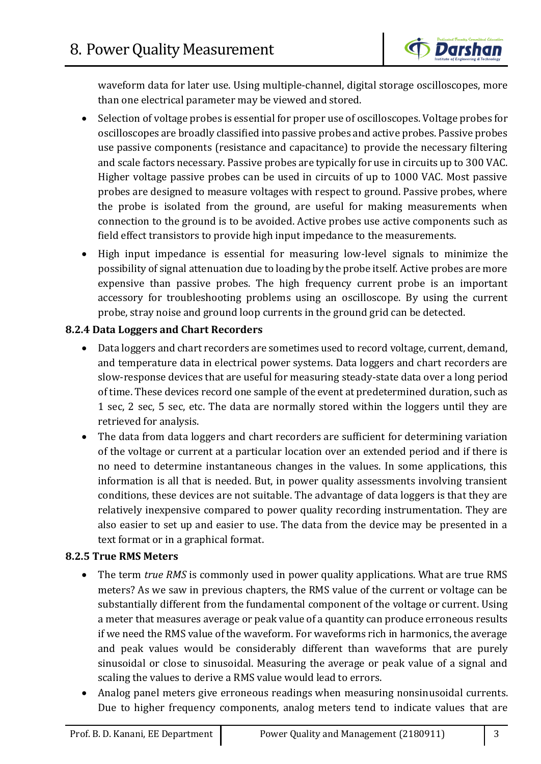

waveform data for later use. Using multiple-channel, digital storage oscilloscopes, more than one electrical parameter may be viewed and stored.

- Selection of voltage probes is essential for proper use of oscilloscopes. Voltage probes for oscilloscopes are broadly classified into passive probes and active probes. Passive probes use passive components (resistance and capacitance) to provide the necessary filtering and scale factors necessary. Passive probes are typically for use in circuits up to 300 VAC. Higher voltage passive probes can be used in circuits of up to 1000 VAC. Most passive probes are designed to measure voltages with respect to ground. Passive probes, where the probe is isolated from the ground, are useful for making measurements when connection to the ground is to be avoided. Active probes use active components such as field effect transistors to provide high input impedance to the measurements.
- High input impedance is essential for measuring low-level signals to minimize the possibility of signal attenuation due to loading by the probe itself. Active probes are more expensive than passive probes. The high frequency current probe is an important accessory for troubleshooting problems using an oscilloscope. By using the current probe, stray noise and ground loop currents in the ground grid can be detected.

#### **8.2.4 Data Loggers and Chart Recorders**

- Data loggers and chart recorders are sometimes used to record voltage, current, demand, and temperature data in electrical power systems. Data loggers and chart recorders are slow-response devices that are useful for measuring steady-state data over a long period of time. These devices record one sample of the event at predetermined duration, such as 1 sec, 2 sec, 5 sec, etc. The data are normally stored within the loggers until they are retrieved for analysis.
- The data from data loggers and chart recorders are sufficient for determining variation of the voltage or current at a particular location over an extended period and if there is no need to determine instantaneous changes in the values. In some applications, this information is all that is needed. But, in power quality assessments involving transient conditions, these devices are not suitable. The advantage of data loggers is that they are relatively inexpensive compared to power quality recording instrumentation. They are also easier to set up and easier to use. The data from the device may be presented in a text format or in a graphical format.

#### **8.2.5 True RMS Meters**

- The term *true RMS* is commonly used in power quality applications. What are true RMS meters? As we saw in previous chapters, the RMS value of the current or voltage can be substantially different from the fundamental component of the voltage or current. Using a meter that measures average or peak value of a quantity can produce erroneous results if we need the RMS value of the waveform. For waveforms rich in harmonics, the average and peak values would be considerably different than waveforms that are purely sinusoidal or close to sinusoidal. Measuring the average or peak value of a signal and scaling the values to derive a RMS value would lead to errors.
- Analog panel meters give erroneous readings when measuring nonsinusoidal currents. Due to higher frequency components, analog meters tend to indicate values that are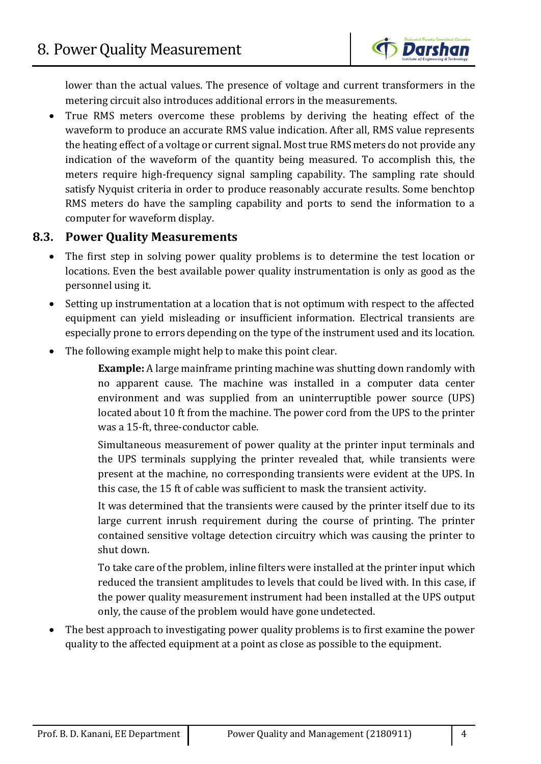

lower than the actual values. The presence of voltage and current transformers in the metering circuit also introduces additional errors in the measurements.

 True RMS meters overcome these problems by deriving the heating effect of the waveform to produce an accurate RMS value indication. After all, RMS value represents the heating effect of a voltage or current signal. Most true RMS meters do not provide any indication of the waveform of the quantity being measured. To accomplish this, the meters require high-frequency signal sampling capability. The sampling rate should satisfy Nyquist criteria in order to produce reasonably accurate results. Some benchtop RMS meters do have the sampling capability and ports to send the information to a computer for waveform display.

### **8.3. Power Quality Measurements**

- The first step in solving power quality problems is to determine the test location or locations. Even the best available power quality instrumentation is only as good as the personnel using it.
- Setting up instrumentation at a location that is not optimum with respect to the affected equipment can yield misleading or insufficient information. Electrical transients are especially prone to errors depending on the type of the instrument used and its location.
- The following example might help to make this point clear.
	- **Example:** A large mainframe printing machine was shutting down randomly with no apparent cause. The machine was installed in a computer data center environment and was supplied from an uninterruptible power source (UPS) located about 10 ft from the machine. The power cord from the UPS to the printer was a 15-ft, three-conductor cable.
	- Simultaneous measurement of power quality at the printer input terminals and the UPS terminals supplying the printer revealed that, while transients were present at the machine, no corresponding transients were evident at the UPS. In this case, the 15 ft of cable was sufficient to mask the transient activity.
	- It was determined that the transients were caused by the printer itself due to its large current inrush requirement during the course of printing. The printer contained sensitive voltage detection circuitry which was causing the printer to shut down.
	- To take care of the problem, inline filters were installed at the printer input which reduced the transient amplitudes to levels that could be lived with. In this case, if the power quality measurement instrument had been installed at the UPS output only, the cause of the problem would have gone undetected.
- The best approach to investigating power quality problems is to first examine the power quality to the affected equipment at a point as close as possible to the equipment.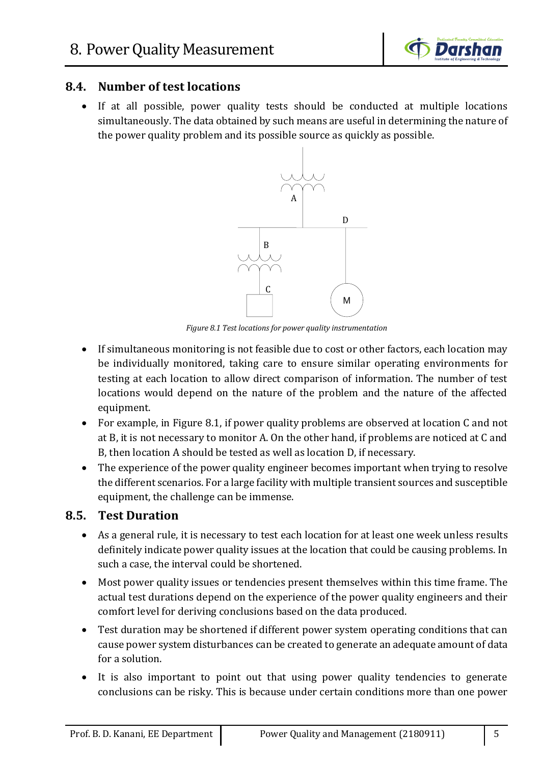

## **8.4. Number of test locations**

 If at all possible, power quality tests should be conducted at multiple locations simultaneously. The data obtained by such means are useful in determining the nature of the power quality problem and its possible source as quickly as possible.



*Figure 8.1 Test locations for power quality instrumentation*

- If simultaneous monitoring is not feasible due to cost or other factors, each location may be individually monitored, taking care to ensure similar operating environments for testing at each location to allow direct comparison of information. The number of test locations would depend on the nature of the problem and the nature of the affected equipment.
- For example, in Figure 8.1, if power quality problems are observed at location C and not at B, it is not necessary to monitor A. On the other hand, if problems are noticed at C and B, then location A should be tested as well as location D, if necessary.
- The experience of the power quality engineer becomes important when trying to resolve the different scenarios. For a large facility with multiple transient sources and susceptible equipment, the challenge can be immense.

### **8.5. Test Duration**

- As a general rule, it is necessary to test each location for at least one week unless results definitely indicate power quality issues at the location that could be causing problems. In such a case, the interval could be shortened.
- Most power quality issues or tendencies present themselves within this time frame. The actual test durations depend on the experience of the power quality engineers and their comfort level for deriving conclusions based on the data produced.
- Test duration may be shortened if different power system operating conditions that can cause power system disturbances can be created to generate an adequate amount of data for a solution.
- It is also important to point out that using power quality tendencies to generate conclusions can be risky. This is because under certain conditions more than one power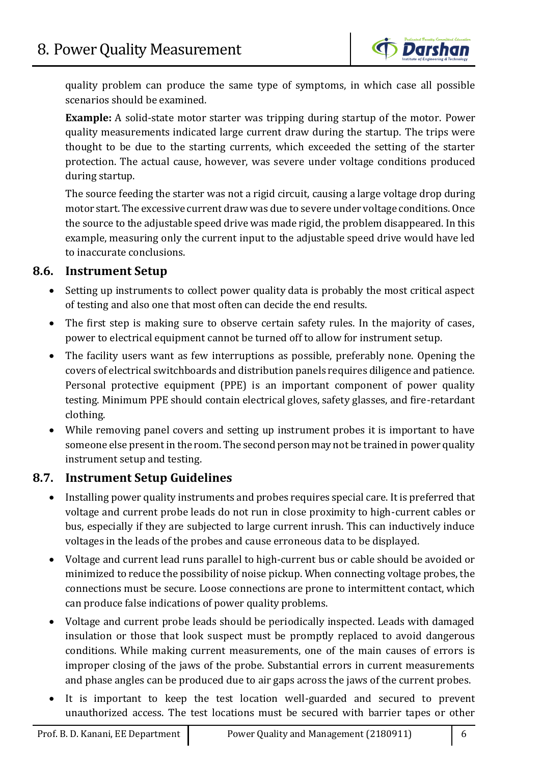

quality problem can produce the same type of symptoms, in which case all possible scenarios should be examined.

**Example:** A solid-state motor starter was tripping during startup of the motor. Power quality measurements indicated large current draw during the startup. The trips were thought to be due to the starting currents, which exceeded the setting of the starter protection. The actual cause, however, was severe under voltage conditions produced during startup.

The source feeding the starter was not a rigid circuit, causing a large voltage drop during motor start. The excessive current draw was due to severe under voltage conditions. Once the source to the adjustable speed drive was made rigid, the problem disappeared. In this example, measuring only the current input to the adjustable speed drive would have led to inaccurate conclusions.

## **8.6. Instrument Setup**

- Setting up instruments to collect power quality data is probably the most critical aspect of testing and also one that most often can decide the end results.
- The first step is making sure to observe certain safety rules. In the majority of cases, power to electrical equipment cannot be turned off to allow for instrument setup.
- The facility users want as few interruptions as possible, preferably none. Opening the covers of electrical switchboards and distribution panels requires diligence and patience. Personal protective equipment (PPE) is an important component of power quality testing. Minimum PPE should contain electrical gloves, safety glasses, and fire-retardant clothing.
- While removing panel covers and setting up instrument probes it is important to have someone else present in the room. The second person may not be trained in power quality instrument setup and testing.

# **8.7. Instrument Setup Guidelines**

- Installing power quality instruments and probes requires special care. It is preferred that voltage and current probe leads do not run in close proximity to high-current cables or bus, especially if they are subjected to large current inrush. This can inductively induce voltages in the leads of the probes and cause erroneous data to be displayed.
- Voltage and current lead runs parallel to high-current bus or cable should be avoided or minimized to reduce the possibility of noise pickup. When connecting voltage probes, the connections must be secure. Loose connections are prone to intermittent contact, which can produce false indications of power quality problems.
- Voltage and current probe leads should be periodically inspected. Leads with damaged insulation or those that look suspect must be promptly replaced to avoid dangerous conditions. While making current measurements, one of the main causes of errors is improper closing of the jaws of the probe. Substantial errors in current measurements and phase angles can be produced due to air gaps across the jaws of the current probes.
- It is important to keep the test location well-guarded and secured to prevent unauthorized access. The test locations must be secured with barrier tapes or other